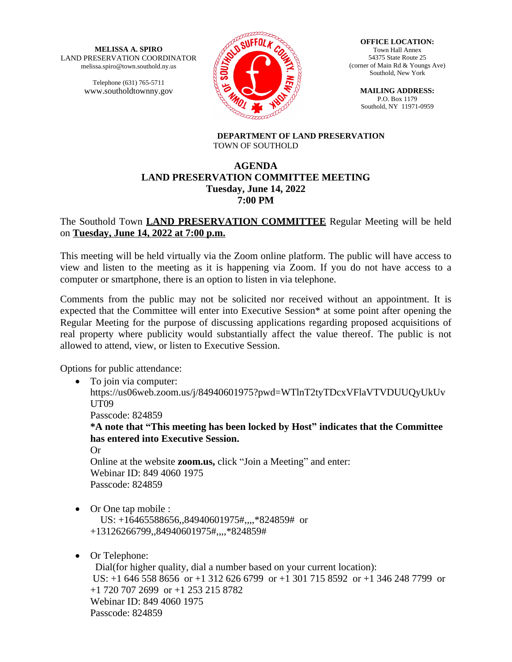**MELISSA A. SPIRO** LAND PRESERVATION COORDINATOR melissa.spiro@town.southold.ny.us

> Telephone (631) 765-5711 www.southoldtownny.gov



**OFFICE LOCATION:** Town Hall Annex 54375 State Route 25 (corner of Main Rd & Youngs Ave) Southold, New York

**MAILING ADDRESS:** P.O. Box 1179 Southold, NY 11971-0959

**DEPARTMENT OF LAND PRESERVATION** TOWN OF SOUTHOLD

# **AGENDA LAND PRESERVATION COMMITTEE MEETING Tuesday, June 14, 2022 7:00 PM**

# The Southold Town **LAND PRESERVATION COMMITTEE** Regular Meeting will be held on **Tuesday, June 14, 2022 at 7:00 p.m.**

This meeting will be held virtually via the Zoom online platform. The public will have access to view and listen to the meeting as it is happening via Zoom. If you do not have access to a computer or smartphone, there is an option to listen in via telephone.

Comments from the public may not be solicited nor received without an appointment. It is expected that the Committee will enter into Executive Session\* at some point after opening the Regular Meeting for the purpose of discussing applications regarding proposed acquisitions of real property where publicity would substantially affect the value thereof. The public is not allowed to attend, view, or listen to Executive Session.

Options for public attendance:

- To join via computer: https://us06web.zoom.us/j/84940601975?pwd=WTlnT2tyTDcxVFlaVTVDUUQyUkUv UT09 Passcode: 824859 **\*A note that "This meeting has been locked by Host" indicates that the Committee has entered into Executive Session.** Or Online at the website **zoom.us,** click "Join a Meeting" and enter: Webinar ID: 849 4060 1975 Passcode: 824859
- Or One tap mobile :

 US: +16465588656,,84940601975#,,,,\*824859# or +13126266799,,84940601975#,,,,\*824859#

• Or Telephone:

 Dial(for higher quality, dial a number based on your current location): US: +1 646 558 8656 or +1 312 626 6799 or +1 301 715 8592 or +1 346 248 7799 or +1 720 707 2699 or +1 253 215 8782 Webinar ID: 849 4060 1975 Passcode: 824859